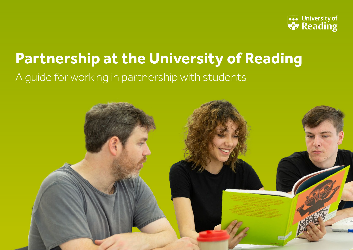

# **Partnership at the University of Reading**

## A guide for working in partnership with students

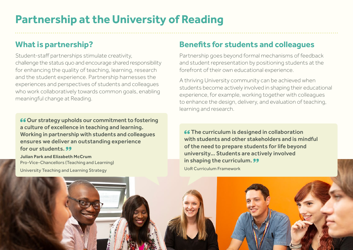# **Partnership at the University of Reading**

### **What is partnership?**

Student-staff partnerships stimulate creativity, challenge the status quo and encourage shared responsibility for enhancing the quality of teaching, learning, research and the student experience. Partnership harnesses the experiences and perspectives of students and colleagues who work collaboratively towards common goals, enabling meaningful change at Reading.

66 Our strategy upholds our commitment to fostering a culture of excellence in teaching and learning. Working in partnership with students and colleagues ensures we deliver an outstanding experience for our students. 99

**Julian Park and Elizabeth McCrum**  Pro-Vice-Chancellors (Teaching and Learning) University Teaching and Learning Strategy

### **Benefits for students and colleagues**

Partnership goes beyond formal mechanisms of feedback and student representation by positioning students at the forefront of their own educational experience.

A thriving University community can be achieved when students become actively involved in shaping their educational experience, for example, working together with colleagues to enhance the design, delivery, and evaluation of teaching, learning and research.

**66 The curriculum is designed in collaboration** with students and other stakeholders and is mindful of the need to prepare students for life beyond university… Students are actively involved in shaping the curriculum. 99 UoR Curriculum Framework

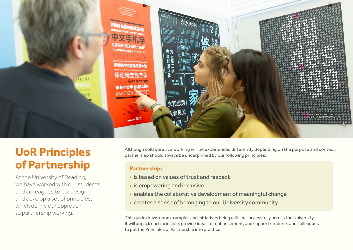

## **UoR Principles of Partnership**

At the University of Reading, we have worked with our students and colleagues to co-design and develop a set of principles, which define our approach to partnership working.

Although collaborative working will be experienced differently depending on the purpose and context, partnership should always be underpinned by our following principles:

### **Partnership:**

- is based on values of trust and respect
- is empowering and inclusive
- enables the collaborative development of meaningful change
- creates a sense of belonging to our University community

This guide draws upon examples and initiatives being utilised successfully across the University. It will unpack each principle, provide ideas for enhancement, and support students and colleagues to put the Principles of Partnership into practice.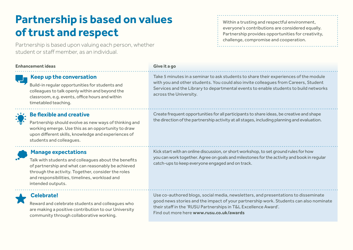# **Partnership is based on values of trust and respect**

Partnership is based upon valuing each person, whether student or staff member, as an individual.

#### **Enhancement ideas Give it a go**

### **Keep up the conversation**

Build-in regular opportunities for students and colleagues to talk openly within and beyond the classroom, e.g. events, office hours and within timetabled teaching.

### **Be flexible and creative**

Partnership should evolve as new ways of thinking and working emerge. Use this as an opportunity to draw upon different skills, knowledge and experiences of students and colleagues.

### **Manage expectations**

Talk with students and colleagues about the benefits of partnership and what can reasonably be achieved through the activity. Together, consider the roles and responsibilities, timelines, workload and intended outputs.

### **Celebrate!**

Reward and celebrate students and colleagues who are making a positive contribution to our University community through collaborative working.

### Within a trusting and respectful environment, everyone's contributions are considered equally. Partnership provides opportunities for creativity, challenge, compromise and cooperation.

Take 5 minutes in a seminar to ask students to share their experiences of the module with you and other students. You could also invite colleagues from Careers, Student Services and the Library to departmental events to enable students to build networks across the University.

Create frequent opportunities for all participants to share ideas, be creative and shape the direction of the partnership activity at all stages, including planning and evaluation.

Kick start with an online discussion, or short workshop, to set ground rules for how you can work together. Agree on goals and milestones for the activity and book in regular catch-ups to keep everyone engaged and on track.

Use co-authored blogs, social media, newsletters, and presentations to disseminate good news stories and the impact of your partnership work. Students can also nominate their staff in the 'RUSU Partnerships in T&L Excellence Award'. Find out more here **[www.rusu.co.uk/awards](http://www.rusu.co.uk/awards)**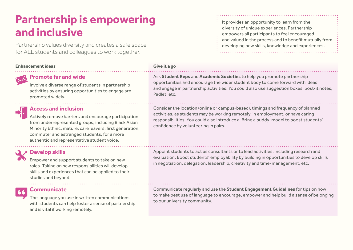## **Partnership is empowering and inclusive**

Partnership values diversity and creates a safe space for ALL students and colleagues to work together.

### **Enhancement ideas Give it a go**

### **Promote far and wide**

Involve a diverse range of students in partnership activities by ensuring opportunities to engage are promoted widely.



### **Access and inclusion**

Actively remove barriers and encourage participation from underrepresented groups, including Black Asian Minority Ethnic, mature, care leavers, first generation, commuter and estranged students, for a more authentic and representative student voice.



### **Develop skills**

Empower and support students to take on new roles. Taking on new responsibilities will develop skills and experiences that can be applied to their studies and beyond.

### **Communicate**

The language you use in written communications with students can help foster a sense of partnership and is vital if working remotely.

It provides an opportunity to learn from the diversity of unique experiences. Partnership empowers all participants to feel encouraged and valued in the process and to benefit mutually from developing new skills, knowledge and experiences.

Ask **[Student Reps](https://www.rusu.co.uk/representation/student-reps/)** and **[Academic Societies](https://www.rusu.co.uk/student-activities/societies/academic-and-career/)** to help you promote partnership opportunities and encourage the wider student body to come forward with ideas and engage in partnership activities. You could also use suggestion boxes, post-it notes, Padlet, etc.

Consider the location (online or campus-based), timings and frequency of planned activities, as students may be working remotely, in employment, or have caring responsibilities. You could also introduce a 'Bring a buddy' model to boost students' confidence by volunteering in pairs.

Appoint students to act as consultants or to lead activities, including research and evaluation. Boost students' employability by building in opportunities to develop skills in negotiation, delegation, leadership, creativity and time-management, etc.

Communicate regularly and use the **[Student Engagement Guidelines](http://www.reading.ac.uk/internal/staffportal/SASstaff/SASSuccess.aspx)** for tips on how to make best use of language to encourage, empower and help build a sense of belonging to our university community.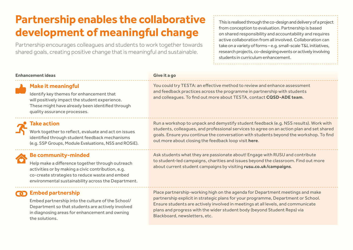# **Partnership enables the collaborative development of meaningful change**

Partnership encourages colleagues and students to work together towards shared goals, creating positive change that is meaningful and sustainable.

This is realised through the co-design and delivery of a project from conception to evaluation. Partnership is based on shared responsibility and accountability and requires active collaboration from all involved. Collaboration can take on a variety of forms – e.g. small-scale T&L initiatives, research projects, co-designing events or actively involving students in curriculum enhancement.

#### **Enhancement ideas Give it a go**

### **Make it meaningful**

Identify key themes for enhancement that will positively impact the student experience. These might have already been identified through quality assurance processes.

You could try TESTA: an effective method to review and enhance assessment and feedback practices across the programme in partnership with students and colleagues. To find out more about TESTA, contact **[CQSD-ADE team](mailto:CQSD-ADE%40READING.AC.UK?subject=)**.

### **Take action**

Work together to reflect, evaluate and act on issues identified through student feedback mechanisms (e.g. SSP Groups, Module Evaluations, NSS and ROSiE).

### **Be community-minded**

Help make a difference together through outreach activities or by making a civic contribution, e.g. co-create strategies to reduce waste and embed environmental sustainability across the Department.

### **COD** Embed partnership

Embed partnership into the culture of the School/ Department so that students are actively involved in diagnosing areas for enhancement and owning the solutions.

Run a workshop to unpack and demystify student feedback (e.g. NSS results). Work with students, colleagues, and professional services to agree on an action plan and set shared goals. Ensure you continue the conversation with students beyond the workshop. To find out more about closing the feedback loop visit **[here](https://sites.reading.ac.uk/curriculum-framework/closing-the-feedback-loop/)**.

Ask students what they are passionate about! Engage with RUSU and contribute to student-led campaigns, charities and issues beyond the classroom. Find out more about current student campaigns by visiting **[rusu.co.uk/campaigns](http://www.rusu.co.uk/campaigns)**.

Place partnership-working high on the agenda for Department meetings and make partnership explicit in strategic plans for your programme, Department or School. Ensure students are actively involved in meetings at all levels, and communicate plans and progress with the wider student body (beyond Student Reps) via Blackboard, newsletters, etc.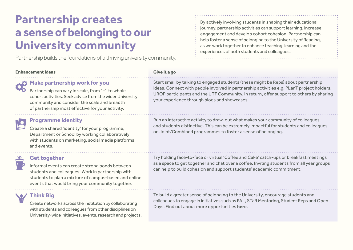# **Partnership creates a sense of belonging to our University community**

Partnership builds the foundations of a thriving university community.

#### **Enhancement ideas Give it a go**

### **Make partnership work for you**

Partnership can vary in scale, from 1-1 to whole cohort activities. Seek advice from the wider University community and consider the scale and breadth of partnership most effective for your activity.

### **Programme identity**

Create a shared 'identity' for your programme, Department or School by working collaboratively with students on marketing, social media platforms and events.

### **Get together**

Informal events can create strong bonds between students and colleagues. Work in partnership with students to plan a mixture of campus-based and online events that would bring your community together.

### **Think Big**

Create networks across the institution by collaborating with students and colleagues from other disciplines on University-wide initiatives, events, research and projects.

By actively involving students in shaping their educational journey, partnership activities can support learning, increase engagement and develop cohort cohesion. Partnership can help foster a sense of belonging to the University of Reading, as we work together to enhance teaching, learning and the experiences of both students and colleagues.

Start small by talking to engaged students (these might be Reps) about partnership ideas. Connect with people involved in partnership activities e.g. PLanT project holders, UROP participants and the UTF Community. In return, offer support to others by sharing your experience through blogs and showcases.

Run an interactive activity to draw-out what makes your community of colleagues and students distinctive. This can be extremely impactful for students and colleagues on Joint/Combined programmes to foster a sense of belonging.

Try holding face-to-face or virtual 'Coffee and Cake' catch-ups or breakfast meetings as a space to get together and chat over a coffee. Inviting students from all year groups can help to build cohesion and support students' academic commitment.

To build a greater sense of belonging to the University, encourage students and colleagues to engage in initiatives such as PAL, STaR Mentoring, Student Reps and Open Days. Find out about more opportunities **[here](https://www.reading.ac.uk/essentials/Opportunities/Timeline)**.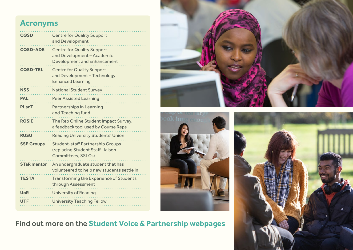## **Acronyms**

| <b>CQSD</b>        | <b>Centre for Quality Support</b><br>and Development                                                  |
|--------------------|-------------------------------------------------------------------------------------------------------|
| <b>CQSD-ADE</b>    | <b>Centre for Quality Support</b><br>and Development - Academic<br><b>Development and Enhancement</b> |
| <b>CQSD-TEL</b>    | <b>Centre for Quality Support</b><br>and Development - Technology<br><b>Enhanced Learning</b>         |
| <b>NSS</b>         | <b>National Student Survey</b>                                                                        |
| <b>PAL</b>         | <b>Peer Assisted Learning</b>                                                                         |
| PLanT              | <b>Partnerships in Learning</b><br>and Teaching fund                                                  |
| <b>ROSIE</b>       | The Rep Online Student Impact Survey,<br>a feedback tool used by Course Reps                          |
| <b>RUSU</b>        | <b>Reading University Students' Union</b>                                                             |
| <b>SSP Groups</b>  | <b>Student-staff Partnership Groups</b><br>(replacing Student Staff Liaison<br>Committees, SSLCs)     |
| <b>STaR mentor</b> | An undergraduate student that has<br>volunteered to help new students settle in                       |
| <b>TESTA</b>       | <b>Transforming the Experience of Students</b><br>through Assessment                                  |
| <b>UoR</b>         | <b>University of Reading</b>                                                                          |
| <b>UTF</b>         | <b>University Teaching Fellow</b>                                                                     |







Find out more on the **[Student Voice & Partnership webpages](https://sites.reading.ac.uk/curriculum-framework/student-voice-partnership/)**